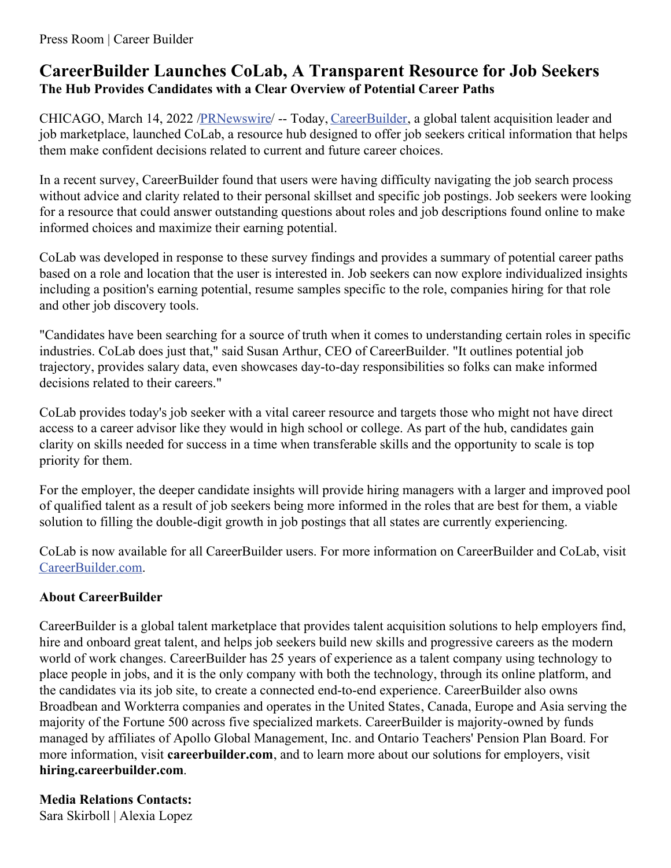# **CareerBuilder Launches CoLab, A Transparent Resource for Job Seekers The Hub Provides Candidates with a Clear Overview of Potential Career Paths**

CHICAGO, March 14, 2022 [/PRNewswire](http://www.prnewswire.com/)/ -- Today, [CareerBuilder](https://c212.net/c/link/?t=0&l=en&o=3468182-1&h=2216021729&u=https%3A%2F%2Fwww.careerbuilder.com%2F&a=CareerBuilder), a global talent acquisition leader and job marketplace, launched CoLab, a resource hub designed to offer job seekers critical information that helps them make confident decisions related to current and future career choices.

In a recent survey, CareerBuilder found that users were having difficulty navigating the job search process without advice and clarity related to their personal skillset and specific job postings. Job seekers were looking for a resource that could answer outstanding questions about roles and job descriptions found online to make informed choices and maximize their earning potential.

CoLab was developed in response to these survey findings and provides a summary of potential career paths based on a role and location that the user is interested in. Job seekers can now explore individualized insights including a position's earning potential, resume samples specific to the role, companies hiring for that role and other job discovery tools.

"Candidates have been searching for a source of truth when it comes to understanding certain roles in specific industries. CoLab does just that," said Susan Arthur, CEO of CareerBuilder. "It outlines potential job trajectory, provides salary data, even showcases day-to-day responsibilities so folks can make informed decisions related to their careers."

CoLab provides today's job seeker with a vital career resource and targets those who might not have direct access to a career advisor like they would in high school or college. As part of the hub, candidates gain clarity on skills needed for success in a time when transferable skills and the opportunity to scale is top priority for them.

For the employer, the deeper candidate insights will provide hiring managers with a larger and improved pool of qualified talent as a result of job seekers being more informed in the roles that are best for them, a viable solution to filling the double-digit growth in job postings that all states are currently experiencing.

CoLab is now available for all CareerBuilder users. For more information on CareerBuilder and CoLab, visit [CareerBuilder.com](https://c212.net/c/link/?t=0&l=en&o=3468182-1&h=2130999027&u=https%3A%2F%2Fwww.careerbuilder.com%2Fcolab&a=CareerBuilder.com).

## **About CareerBuilder**

CareerBuilder is a global talent marketplace that provides talent acquisition solutions to help employers find, hire and onboard great talent, and helps job seekers build new skills and progressive careers as the modern world of work changes. CareerBuilder has 25 years of experience as a talent company using technology to place people in jobs, and it is the only company with both the technology, through its online platform, and the candidates via its job site, to create a connected end-to-end experience. CareerBuilder also owns Broadbean and Workterra companies and operates in the United States, Canada, Europe and Asia serving the majority of the Fortune 500 across five specialized markets. CareerBuilder is majority-owned by funds managed by affiliates of Apollo Global Management, Inc. and Ontario Teachers' Pension Plan Board. For more information, visit **careerbuilder.com**, and to learn more about our solutions for employers, visit **hiring.careerbuilder.com**.

## **Media Relations Contacts:**

Sara Skirboll | Alexia Lopez